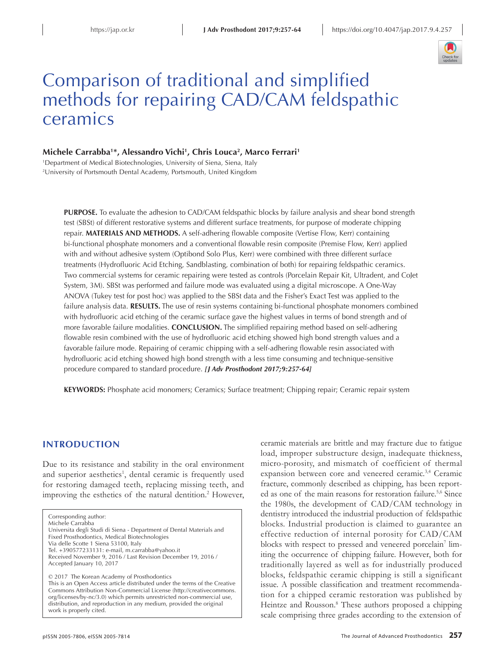

# Comparison of traditional and simplified methods for repairing CAD/CAM feldspathic ceramics

#### **Michele Carrabba1 \*, Alessandro Vichi1 , Chris Louca2 , Marco Ferrari1**

1 Department of Medical Biotechnologies, University of Siena, Siena, Italy 2 University of Portsmouth Dental Academy, Portsmouth, United Kingdom

**PURPOSE.** To evaluate the adhesion to CAD/CAM feldspathic blocks by failure analysis and shear bond strength test (SBSt) of different restorative systems and different surface treatments, for purpose of moderate chipping repair. **MATERIALS AND METHODS.** A self-adhering flowable composite (Vertise Flow, Kerr) containing bi-functional phosphate monomers and a conventional flowable resin composite (Premise Flow, Kerr) applied with and without adhesive system (Optibond Solo Plus, Kerr) were combined with three different surface treatments (Hydrofluoric Acid Etching, Sandblasting, combination of both) for repairing feldspathic ceramics. Two commercial systems for ceramic repairing were tested as controls (Porcelain Repair Kit, Ultradent, and CoJet System, 3M). SBSt was performed and failure mode was evaluated using a digital microscope. A One-Way ANOVA (Tukey test for post hoc) was applied to the SBSt data and the Fisher's Exact Test was applied to the failure analysis data. **RESULTS.** The use of resin systems containing bi-functional phosphate monomers combined with hydrofluoric acid etching of the ceramic surface gave the highest values in terms of bond strength and of more favorable failure modalities. **CONCLUSION.** The simplified repairing method based on self-adhering flowable resin combined with the use of hydrofluoric acid etching showed high bond strength values and a favorable failure mode. Repairing of ceramic chipping with a self-adhering flowable resin associated with hydrofluoric acid etching showed high bond strength with a less time consuming and technique-sensitive procedure compared to standard procedure. *[J Adv Prosthodont 2017;9:257-64]*

**KEYWORDS:** Phosphate acid monomers; Ceramics; Surface treatment; Chipping repair; Ceramic repair system

# **Introduction**

Due to its resistance and stability in the oral environment and superior aesthetics<sup>1</sup>, dental ceramic is frequently used for restoring damaged teeth, replacing missing teeth, and improving the esthetics of the natural dentition.<sup>2</sup> However,

Michele Carrabba Universita degli Studi di Siena - Department of Dental Materials and Fixed Prosthodontics, Medical Biotechnologies Via delle Scotte 1 Siena 53100, Italy Tel. +390577233131: e-mail, m.carrabba@yahoo.it Received November 9, 2016 / Last Revision December 19, 2016 / Accepted January 10, 2017 © 2017 The Korean Academy of Prosthodontics This is an Open Access article distributed under the terms of the Creative

Commons Attribution Non-Commercial License (http://creativecommons. org/licenses/by-nc/3.0) which permits unrestricted non-commercial use, distribution, and reproduction in any medium, provided the original work is properly cited.

ceramic materials are brittle and may fracture due to fatigue load, improper substructure design, inadequate thickness, micro-porosity, and mismatch of coefficient of thermal expansion between core and veneered ceramic.<sup>3,4</sup> Ceramic fracture, commonly described as chipping, has been reported as one of the main reasons for restoration failure.<sup>5,6</sup> Since the 1980s, the development of CAD/CAM technology in dentistry introduced the industrial production of feldspathic blocks. Industrial production is claimed to guarantee an effective reduction of internal porosity for CAD/CAM blocks with respect to pressed and veneered porcelain<sup>7</sup> limiting the occurrence of chipping failure. However, both for traditionally layered as well as for industrially produced blocks, feldspathic ceramic chipping is still a significant issue. A possible classification and treatment recommendation for a chipped ceramic restoration was published by Heintze and Rousson.8 These authors proposed a chipping scale comprising three grades according to the extension of

Corresponding author: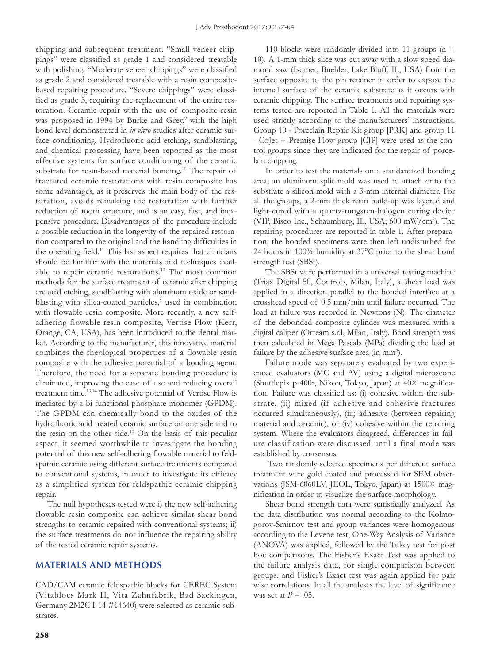chipping and subsequent treatment. "Small veneer chippings" were classified as grade 1 and considered treatable with polishing. "Moderate veneer chippings" were classified as grade 2 and considered treatable with a resin compositebased repairing procedure. "Severe chippings" were classified as grade 3, requiring the replacement of the entire restoration. Ceramic repair with the use of composite resin was proposed in 1994 by Burke and Grey,<sup>9</sup> with the high bond level demonstrated in *in vitro* studies after ceramic surface conditioning. Hydrofluoric acid etching, sandblasting, and chemical processing have been reported as the most effective systems for surface conditioning of the ceramic substrate for resin-based material bonding.<sup>10</sup> The repair of fractured ceramic restorations with resin composite has some advantages, as it preserves the main body of the restoration, avoids remaking the restoration with further reduction of tooth structure, and is an easy, fast, and inexpensive procedure. Disadvantages of the procedure include a possible reduction in the longevity of the repaired restoration compared to the original and the handling difficulties in the operating field.11 This last aspect requires that clinicians should be familiar with the materials and techniques available to repair ceramic restorations.<sup>12</sup> The most common methods for the surface treatment of ceramic after chipping are acid etching, sandblasting with aluminum oxide or sandblasting with silica-coated particles,<sup>6</sup> used in combination with flowable resin composite. More recently, a new selfadhering flowable resin composite, Vertise Flow (Kerr, Orange, CA, USA), has been introduced to the dental market. According to the manufacturer, this innovative material combines the rheological properties of a flowable resin composite with the adhesive potential of a bonding agent. Therefore, the need for a separate bonding procedure is eliminated, improving the ease of use and reducing overall treatment time.13,14 The adhesive potential of Vertise Flow is mediated by a bi-functional phosphate monomer (GPDM). The GPDM can chemically bond to the oxides of the hydrofluoric acid treated ceramic surface on one side and to the resin on the other side.<sup>10</sup> On the basis of this peculiar aspect, it seemed worthwhile to investigate the bonding potential of this new self-adhering flowable material to feldspathic ceramic using different surface treatments compared to conventional systems, in order to investigate its efficacy as a simplified system for feldspathic ceramic chipping repair.

The null hypotheses tested were i) the new self-adhering flowable resin composite can achieve similar shear bond strengths to ceramic repaired with conventional systems; ii) the surface treatments do not influence the repairing ability of the tested ceramic repair systems.

#### **Materials and Methods**

CAD/CAM ceramic feldspathic blocks for CEREC System (Vitablocs Mark II, Vita Zahnfabrik, Bad Sackingen, Germany 2M2C I-14 #14640) were selected as ceramic substrates.

110 blocks were randomly divided into 11 groups ( $n =$ 10). A 1-mm thick slice was cut away with a slow speed diamond saw (Isomet, Buehler, Lake Bluff, IL, USA) from the surface opposite to the pin retainer in order to expose the internal surface of the ceramic substrate as it occurs with ceramic chipping. The surface treatments and repairing systems tested are reported in Table 1. All the materials were used strictly according to the manufacturers' instructions. Group 10 - Porcelain Repair Kit group [PRK] and group 11 - CoJet + Premise Flow group [CJP] were used as the control groups since they are indicated for the repair of porcelain chipping.

In order to test the materials on a standardized bonding area, an aluminum split mold was used to attach onto the substrate a silicon mold with a 3-mm internal diameter. For all the groups, a 2-mm thick resin build-up was layered and light-cured with a quartz-tungsten-halogen curing device (VIP, Bisco Inc., Schaumburg, IL, USA; 600 mW/cm2 ). The repairing procedures are reported in table 1. After preparation, the bonded specimens were then left undisturbed for 24 hours in 100% humidity at 37°C prior to the shear bond strength test (SBSt).

The SBSt were performed in a universal testing machine (Triax Digital 50, Controls, Milan, Italy), a shear load was applied in a direction parallel to the bonded interface at a crosshead speed of 0.5 mm/min until failure occurred. The load at failure was recorded in Newtons (N). The diameter of the debonded composite cylinder was measured with a digital caliper (Orteam s.r.l, Milan, Italy). Bond strength was then calculated in Mega Pascals (MPa) dividing the load at failure by the adhesive surface area (in mm<sup>2</sup>).

Failure mode was separately evaluated by two experienced evaluators (MC and AV) using a digital microscope (Shuttlepix p-400r, Nikon, Tokyo, Japan) at 40× magnification. Failure was classified as: (i) cohesive within the substrate, (ii) mixed (if adhesive and cohesive fractures occurred simultaneously), (iii) adhesive (between repairing material and ceramic), or (iv) cohesive within the repairing system. Where the evaluators disagreed, differences in failure classification were discussed until a final mode was established by consensus.

 Two randomly selected specimens per different surface treatment were gold coated and processed for SEM observations (JSM-6060LV, JEOL, Tokyo, Japan) at 1500× magnification in order to visualize the surface morphology.

Shear bond strength data were statistically analyzed. As the data distribution was normal according to the Kolmogorov-Smirnov test and group variances were homogenous according to the Levene test, One-Way Analysis of Variance (ANOVA) was applied, followed by the Tukey test for post hoc comparisons. The Fisher's Exact Test was applied to the failure analysis data, for single comparison between groups, and Fisher's Exact test was again applied for pair wise correlations. In all the analyses the level of significance was set at *P* = .05.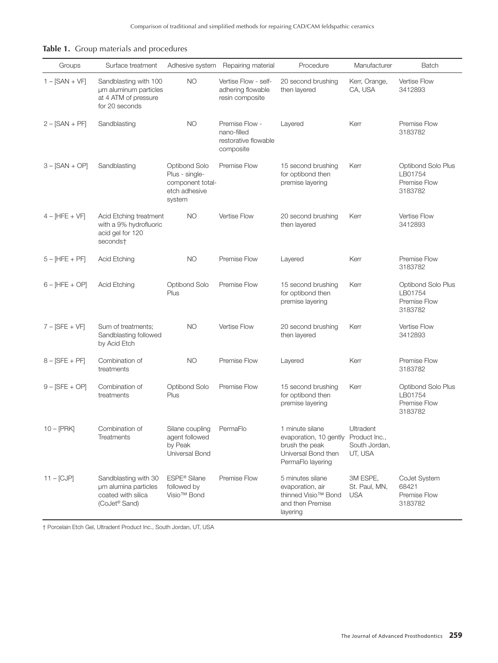| Groups           | Surface treatment                                                                               | Adhesive system                                                                | Repairing material                                                 | Procedure                                                                                                             | Manufacturer                            | <b>Batch</b>                                                    |
|------------------|-------------------------------------------------------------------------------------------------|--------------------------------------------------------------------------------|--------------------------------------------------------------------|-----------------------------------------------------------------------------------------------------------------------|-----------------------------------------|-----------------------------------------------------------------|
| $1 - [SAN + VF]$ | Sandblasting with 100<br>µm aluminum particles<br>at 4 ATM of pressure<br>for 20 seconds        | <b>NO</b>                                                                      | Vertise Flow - self-<br>adhering flowable<br>resin composite       | 20 second brushing<br>then layered                                                                                    | Kerr, Orange,<br>CA, USA                | Vertise Flow<br>3412893                                         |
| $2 -$ [SAN + PF] | Sandblasting                                                                                    | <b>NO</b>                                                                      | Premise Flow -<br>nano-filled<br>restorative flowable<br>composite | Layered                                                                                                               | Kerr                                    | Premise Flow<br>3183782                                         |
| $3 - [SAN + OP]$ | Sandblasting                                                                                    | Optibond Solo<br>Plus - single-<br>component total-<br>etch adhesive<br>system | Premise Flow                                                       | 15 second brushing<br>for optibond then<br>premise layering                                                           | Kerr                                    | Optibond Solo Plus<br>LB01754<br>Premise Flow<br>3183782        |
| $4 - [HFE + VF]$ | Acid Etching treatment<br>with a 9% hydrofluoric<br>acid gel for 120<br>seconds†                | <b>NO</b>                                                                      | <b>Vertise Flow</b>                                                | 20 second brushing<br>then layered                                                                                    | Kerr                                    | <b>Vertise Flow</b><br>3412893                                  |
| $5 - [HFE + PF]$ | <b>Acid Etching</b>                                                                             | <b>NO</b>                                                                      | Premise Flow                                                       | Layered                                                                                                               | Kerr                                    | Premise Flow<br>3183782                                         |
| $6 - [HFE + OP]$ | <b>Acid Etching</b>                                                                             | Optibond Solo<br>Plus                                                          | Premise Flow                                                       | 15 second brushing<br>for optibond then<br>premise layering                                                           | Kerr                                    | <b>Optibond Solo Plus</b><br>LB01754<br>Premise Flow<br>3183782 |
| $7 - [SFE + VF]$ | Sum of treatments;<br>Sandblasting followed<br>by Acid Etch                                     | <b>NO</b>                                                                      | Vertise Flow                                                       | 20 second brushing<br>then layered                                                                                    | Kerr                                    | <b>Vertise Flow</b><br>3412893                                  |
| $8 - [SFE + PF]$ | Combination of<br>treatments                                                                    | <b>NO</b>                                                                      | Premise Flow                                                       | Layered                                                                                                               | Kerr                                    | Premise Flow<br>3183782                                         |
| $9 - [SFE + OP]$ | Combination of<br>treatments                                                                    | Optibond Solo<br>Plus                                                          | Premise Flow                                                       | 15 second brushing<br>for optibond then<br>premise layering                                                           | Kerr                                    | Optibond Solo Plus<br>LB01754<br>Premise Flow<br>3183782        |
| $10 - [PRK]$     | Combination of<br><b>Treatments</b>                                                             | Silane coupling<br>agent followed<br>by Peak<br>Universal Bond                 | PermaFlo                                                           | 1 minute silane<br>evaporation, 10 gently Product Inc.,<br>brush the peak<br>Universal Bond then<br>PermaFlo layering | Ultradent<br>South Jordan,<br>UT, USA   |                                                                 |
| $11 - [CJP]$     | Sandblasting with 30<br>µm alumina particles<br>coated with silica<br>(CoJet <sup>®</sup> Sand) | ESPE <sup>®</sup> Silane<br>followed by<br>Visio <sup>™</sup> Bond             | Premise Flow                                                       | 5 minutes silane<br>evaporation, air<br>thinned Visio™ Bond<br>and then Premise<br>layering                           | 3M ESPE,<br>St. Paul, MN,<br><b>USA</b> | CoJet System<br>68421<br>Premise Flow<br>3183782                |

| Table 1. Group materials and procedures |  |
|-----------------------------------------|--|
|-----------------------------------------|--|

† Porcelain Etch Gel, Ultradent Product Inc., South Jordan, UT, USA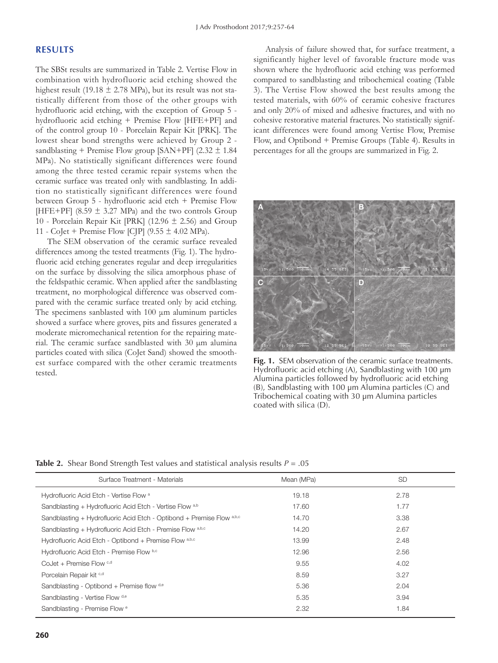# **Results**

The SBSt results are summarized in Table 2. Vertise Flow in combination with hydrofluoric acid etching showed the highest result (19.18  $\pm$  2.78 MPa), but its result was not statistically different from those of the other groups with hydrofluoric acid etching, with the exception of Group 5 hydrofluoric acid etching + Premise Flow [HFE+PF] and of the control group 10 - Porcelain Repair Kit [PRK]. The lowest shear bond strengths were achieved by Group 2 sandblasting + Premise Flow group [SAN+PF]  $(2.32 \pm 1.84)$ MPa). No statistically significant differences were found among the three tested ceramic repair systems when the ceramic surface was treated only with sandblasting. In addition no statistically significant differences were found between Group 5 - hydrofluoric acid etch + Premise Flow [HFE+PF] (8.59  $\pm$  3.27 MPa) and the two controls Group 10 - Porcelain Repair Kit [PRK] (12.96 ± 2.56) and Group 11 - CoJet + Premise Flow [CJP] (9.55 ± 4.02 MPa).

The SEM observation of the ceramic surface revealed differences among the tested treatments (Fig. 1). The hydrofluoric acid etching generates regular and deep irregularities on the surface by dissolving the silica amorphous phase of the feldspathic ceramic. When applied after the sandblasting treatment, no morphological difference was observed compared with the ceramic surface treated only by acid etching. The specimens sanblasted with 100 μm aluminum particles showed a surface where groves, pits and fissures generated a moderate micromechanical retention for the repairing material. The ceramic surface sandblasted with 30 µm alumina particles coated with silica (CoJet Sand) showed the smoothest surface compared with the other ceramic treatments tested.

Analysis of failure showed that, for surface treatment, a significantly higher level of favorable fracture mode was shown where the hydrofluoric acid etching was performed compared to sandblasting and tribochemical coating (Table 3). The Vertise Flow showed the best results among the tested materials, with 60% of ceramic cohesive fractures and only 20% of mixed and adhesive fractures, and with no cohesive restorative material fractures. No statistically significant differences were found among Vertise Flow, Premise Flow, and Optibond + Premise Groups (Table 4). Results in percentages for all the groups are summarized in Fig. 2.



**Fig. 1.** SEM observation of the ceramic surface treatments. Hydrofluoric acid etching (A), Sandblasting with 100  $\mu$ m Alumina particles followed by hydrofluoric acid etching (B), Sandblasting with 100 µm Alumina particles (C) and Tribochemical coating with 30 µm Alumina particles coated with silica (D).

**Table 2.** Shear Bond Strength Test values and statistical analysis results *P* = .05

| Surface Treatment - Materials                                         | Mean (MPa) | <b>SD</b> |
|-----------------------------------------------------------------------|------------|-----------|
| Hydrofluoric Acid Etch - Vertise Flow a                               | 19.18      | 2.78      |
| Sandblasting + Hydrofluoric Acid Etch - Vertise Flow a,b              | 17.60      | 1.77      |
| Sandblasting + Hydrofluoric Acid Etch - Optibond + Premise Flow a,b,c | 14.70      | 3.38      |
| Sandblasting + Hydrofluoric Acid Etch - Premise Flow a,b,c            | 14.20      | 2.67      |
| Hydrofluoric Acid Etch - Optibond + Premise Flow a,b,c                | 13.99      | 2.48      |
| Hydrofluoric Acid Etch - Premise Flow b,c                             | 12.96      | 2.56      |
| CoJet + Premise Flow $c,d$                                            | 9.55       | 4.02      |
| Porcelain Repair kit c,d                                              | 8.59       | 3.27      |
| Sandblasting - Optibond + Premise flow $d,e$                          | 5.36       | 2.04      |
| Sandblasting - Vertise Flow d,e                                       | 5.35       | 3.94      |
| Sandblasting - Premise Flow <sup>e</sup>                              | 2.32       | 1.84      |
|                                                                       |            |           |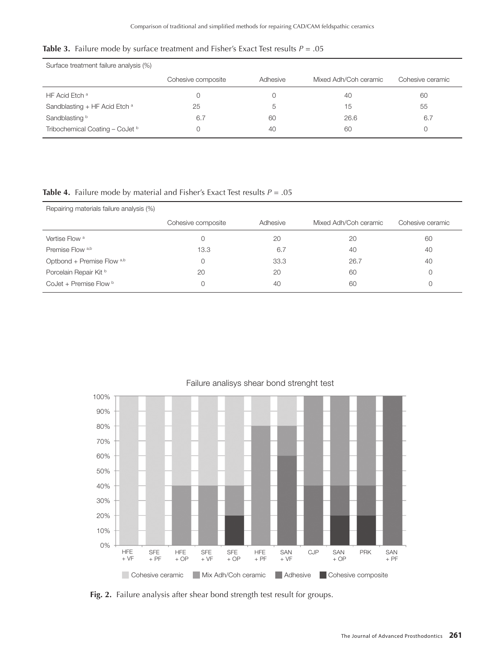|  | <b>Table 3.</b> Failure mode by surface treatment and Fisher's Exact Test results $P = .05$ |  |  |
|--|---------------------------------------------------------------------------------------------|--|--|
|--|---------------------------------------------------------------------------------------------|--|--|

| Surface treatment failure analysis (%) |                    |          |                       |                  |  |
|----------------------------------------|--------------------|----------|-----------------------|------------------|--|
|                                        | Cohesive composite | Adhesive | Mixed Adh/Coh ceramic | Cohesive ceramic |  |
| HF Acid Etch <sup>a</sup>              |                    |          | 40                    | 60               |  |
| Sandblasting + HF Acid Etch a          | 25                 |          | 15                    | 55               |  |
| Sandblasting b                         | 6.7                | 60       | 26.6                  | 6.7              |  |
| Tribochemical Coating - CoJet b        |                    | 40       | 60                    |                  |  |

## **Table 4.** Failure mode by material and Fisher's Exact Test results  $P = .05$

| Repairing materials failure analysis (%) |                    |          |                       |                  |  |
|------------------------------------------|--------------------|----------|-----------------------|------------------|--|
|                                          | Cohesive composite | Adhesive | Mixed Adh/Coh ceramic | Cohesive ceramic |  |
| Vertise Flow <sup>a</sup>                |                    | 20       | 20                    | 60               |  |
| Premise Flow a,b                         | 13.3               | 6.7      | 40                    | 40               |  |
| Optbond + Premise Flow a,b               | U                  | 33.3     | 26.7                  | 40               |  |
| Porcelain Repair Kit b                   | 20                 | 20       | 60                    |                  |  |
| CoJet + Premise Flow b                   | u                  | 40       | 60                    |                  |  |



Failure analisys shear bond strenght test

**Fig. 2.** Failure analysis after shear bond strength test result for groups.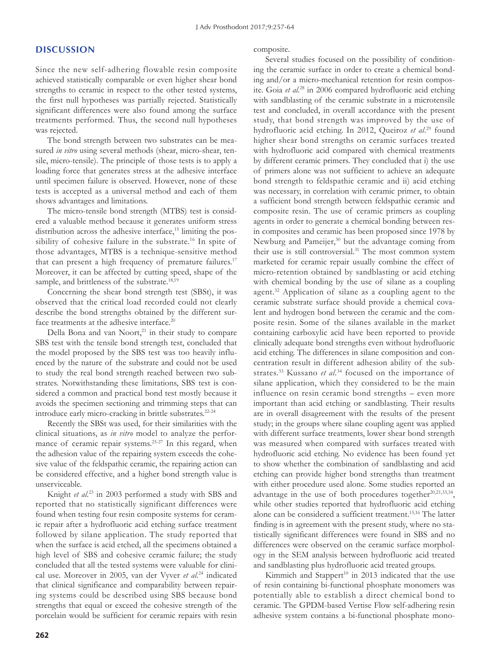## **Discussion**

Since the new self-adhering flowable resin composite achieved statistically comparable or even higher shear bond strengths to ceramic in respect to the other tested systems, the first null hypotheses was partially rejected. Statistically significant differences were also found among the surface treatments performed. Thus, the second null hypotheses was rejected.

The bond strength between two substrates can be measured *in vitro* using several methods (shear, micro-shear, tensile, micro-tensile). The principle of those tests is to apply a loading force that generates stress at the adhesive interface until specimen failure is observed. However, none of these tests is accepted as a universal method and each of them shows advantages and limitations.

The micro-tensile bond strength (MTBS) test is considered a valuable method because it generates uniform stress distribution across the adhesive interface,<sup>15</sup> limiting the possibility of cohesive failure in the substrate.<sup>16</sup> In spite of those advantages, MTBS is a technique-sensitive method that can present a high frequency of premature failures.<sup>17</sup> Moreover, it can be affected by cutting speed, shape of the sample, and brittleness of the substrate.<sup>18,19</sup>

Concerning the shear bond strength test (SBSt), it was observed that the critical load recorded could not clearly describe the bond strengths obtained by the different surface treatments at the adhesive interface.<sup>20</sup>

Della Bona and van Noort, $21$  in their study to compare SBS test with the tensile bond strength test, concluded that the model proposed by the SBS test was too heavily influenced by the nature of the substrate and could not be used to study the real bond strength reached between two substrates. Notwithstanding these limitations, SBS test is considered a common and practical bond test mostly because it avoids the specimen sectioning and trimming steps that can introduce early micro-cracking in brittle substrates.<sup>22-24</sup>

Recently the SBSt was used, for their similarities with the clinical situations, as *in vitro* model to analyze the performance of ceramic repair systems.<sup>25-27</sup> In this regard, when the adhesion value of the repairing system exceeds the cohesive value of the feldspathic ceramic, the repairing action can be considered effective, and a higher bond strength value is unserviceable.

Knight *et al*. 23 in 2003 performed a study with SBS and reported that no statistically significant differences were found when testing four resin composite systems for ceramic repair after a hydrofluoric acid etching surface treatment followed by silane application. The study reported that when the surface is acid etched, all the specimens obtained a high level of SBS and cohesive ceramic failure; the study concluded that all the tested systems were valuable for clinical use. Moreover in 2005, van der Vyver *et al*. 24 indicated that clinical significance and comparability between repairing systems could be described using SBS because bond strengths that equal or exceed the cohesive strength of the porcelain would be sufficient for ceramic repairs with resin

Several studies focused on the possibility of conditioning the ceramic surface in order to create a chemical bonding and/or a micro-mechanical retention for resin composite. Goia *et al*. 28 in 2006 compared hydrofluoric acid etching with sandblasting of the ceramic substrate in a microtensile test and concluded, in overall accordance with the present study, that bond strength was improved by the use of hydrofluoric acid etching. In 2012, Queiroz *et al*. 29 found higher shear bond strengths on ceramic surfaces treated with hydrofluoric acid compared with chemical treatments by different ceramic primers. They concluded that i) the use of primers alone was not sufficient to achieve an adequate bond strength to feldspathic ceramic and ii) acid etching was necessary, in correlation with ceramic primer, to obtain a sufficient bond strength between feldspathic ceramic and composite resin. The use of ceramic primers as coupling agents in order to generate a chemical bonding between resin composites and ceramic has been proposed since 1978 by Newburg and Pameijer,<sup>30</sup> but the advantage coming from their use is still controversial.31 The most common system marketed for ceramic repair usually combine the effect of micro-retention obtained by sandblasting or acid etching with chemical bonding by the use of silane as a coupling agent.32 Application of silane as a coupling agent to the ceramic substrate surface should provide a chemical covalent and hydrogen bond between the ceramic and the composite resin. Some of the silanes available in the market containing carboxylic acid have been reported to provide clinically adequate bond strengths even without hydrofluoric acid etching. The differences in silane composition and concentration result in different adhesion ability of the substrates.33 Kussano *et al*. 34 focused on the importance of silane application, which they considered to be the main influence on resin ceramic bond strengths – even more important than acid etching or sandblasting. Their results are in overall disagreement with the results of the present study; in the groups where silane coupling agent was applied with different surface treatments, lower shear bond strength was measured when compared with surfaces treated with hydrofluoric acid etching. No evidence has been found yet to show whether the combination of sandblasting and acid etching can provide higher bond strengths than treatment with either procedure used alone. Some studies reported an advantage in the use of both procedures together $20,21,33,34$ , while other studies reported that hydrofluoric acid etching alone can be considered a sufficient treatment.15,16 The latter finding is in agreement with the present study, where no statistically significant differences were found in SBS and no differences were observed on the ceramic surface morphology in the SEM analysis between hydrofluoric acid treated and sandblasting plus hydrofluoric acid treated groups.

Kimmich and Stappert<sup>10</sup> in 2013 indicated that the use of resin containing bi-functional phosphate monomers was potentially able to establish a direct chemical bond to ceramic. The GPDM-based Vertise Flow self-adhering resin adhesive system contains a bi-functional phosphate mono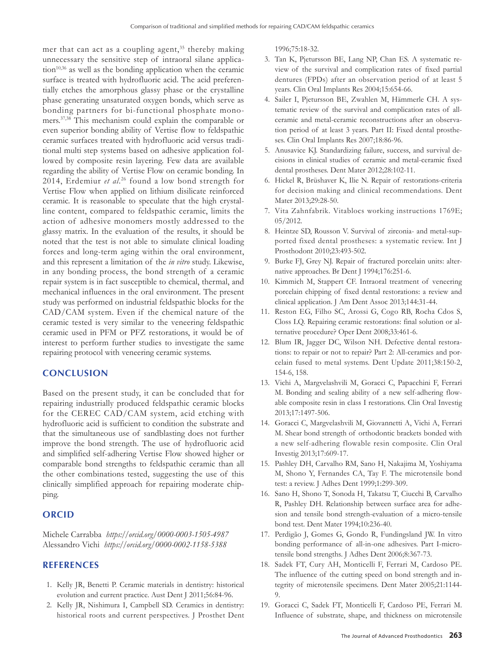mer that can act as a coupling agent, $35$  thereby making unnecessary the sensitive step of intraoral silane application<sup>10,36</sup> as well as the bonding application when the ceramic surface is treated with hydrofluoric acid. The acid preferentially etches the amorphous glassy phase or the crystalline phase generating unsaturated oxygen bonds, which serve as bonding partners for bi-functional phosphate monomers.37,38 This mechanism could explain the comparable or even superior bonding ability of Vertise flow to feldspathic ceramic surfaces treated with hydrofluoric acid versus traditional multi step systems based on adhesive application followed by composite resin layering. Few data are available regarding the ability of Vertise Flow on ceramic bonding. In 2014, Erdemiur *et al*. 26 found a low bond strength for Vertise Flow when applied on lithium disilicate reinforced ceramic. It is reasonable to speculate that the high crystalline content, compared to feldspathic ceramic, limits the action of adhesive monomers mostly addressed to the glassy matrix. In the evaluation of the results, it should be noted that the test is not able to simulate clinical loading forces and long-term aging within the oral environment, and this represent a limitation of the *in vitro* study. Likewise, in any bonding process, the bond strength of a ceramic repair system is in fact susceptible to chemical, thermal, and mechanical influences in the oral environment. The present study was performed on industrial feldspathic blocks for the CAD/CAM system. Even if the chemical nature of the ceramic tested is very similar to the veneering feldspathic ceramic used in PFM or PFZ restorations, it would be of interest to perform further studies to investigate the same repairing protocol with veneering ceramic systems.

## **Conclusion**

Based on the present study, it can be concluded that for repairing industrially produced feldspathic ceramic blocks for the CEREC CAD/CAM system, acid etching with hydrofluoric acid is sufficient to condition the substrate and that the simultaneous use of sandblasting does not further improve the bond strength. The use of hydrofluoric acid and simplified self-adhering Vertise Flow showed higher or comparable bond strengths to feldspathic ceramic than all the other combinations tested, suggesting the use of this clinically simplified approach for repairing moderate chipping.

## **ORCID**

Michele Carrabba *https://orcid.org/0000-0003-1505-4987* Alessandro Vichi *https://orcid.org/0000-0002-1158-5388*

#### **References**

- 1. Kelly JR, Benetti P. Ceramic materials in dentistry: historical evolution and current practice. Aust Dent J 2011;56:84-96.
- 2. Kelly JR, Nishimura I, Campbell SD. Ceramics in dentistry: historical roots and current perspectives. J Prosthet Dent

1996;75:18-32.

- 3. Tan K, Pjetursson BE, Lang NP, Chan ES. A systematic review of the survival and complication rates of fixed partial dentures (FPDs) after an observation period of at least 5 years. Clin Oral Implants Res 2004;15:654-66.
- 4. Sailer I, Pjetursson BE, Zwahlen M, Hämmerle CH. A systematic review of the survival and complication rates of allceramic and metal-ceramic reconstructions after an observation period of at least 3 years. Part II: Fixed dental prostheses. Clin Oral Implants Res 2007;18:86-96.
- 5. Anusavice KJ. Standardizing failure, success, and survival decisions in clinical studies of ceramic and metal-ceramic fixed dental prostheses. Dent Mater 2012;28:102-11.
- 6. Hickel R, Brüshaver K, Ilie N. Repair of restorations-criteria for decision making and clinical recommendations. Dent Mater 2013;29:28-50.
- 7. Vita Zahnfabrik. Vitablocs working instructions 1769E; 05/2012.
- 8. Heintze SD, Rousson V. Survival of zirconia- and metal-supported fixed dental prostheses: a systematic review. Int J Prosthodont 2010;23:493-502.
- 9. Burke FJ, Grey NJ. Repair of fractured porcelain units: alternative approaches. Br Dent J 1994;176:251-6.
- 10. Kimmich M, Stappert CF. Intraoral treatment of veneering porcelain chipping of fixed dental restorations: a review and clinical application. J Am Dent Assoc 2013;144:31-44.
- 11. Reston EG, Filho SC, Arossi G, Cogo RB, Rocha Cdos S, Closs LQ. Repairing ceramic restorations: final solution or alternative procedure? Oper Dent 2008;33:461-6.
- 12. Blum IR, Jagger DC, Wilson NH. Defective dental restorations: to repair or not to repair? Part 2: All-ceramics and porcelain fused to metal systems. Dent Update 2011;38:150-2, 154-6, 158.
- 13. Vichi A, Margvelashvili M, Goracci C, Papacchini F, Ferrari M. Bonding and sealing ability of a new self-adhering flowable composite resin in class I restorations. Clin Oral Investig 2013;17:1497-506.
- 14. Goracci C, Margvelashvili M, Giovannetti A, Vichi A, Ferrari M. Shear bond strength of orthodontic brackets bonded with a new self-adhering flowable resin composite. Clin Oral Investig 2013;17:609-17.
- 15. Pashley DH, Carvalho RM, Sano H, Nakajima M, Yoshiyama M, Shono Y, Fernandes CA, Tay F. The microtensile bond test: a review. J Adhes Dent 1999;1:299-309.
- 16. Sano H, Shono T, Sonoda H, Takatsu T, Ciucchi B, Carvalho R, Pashley DH. Relationship between surface area for adhesion and tensile bond strength-evaluation of a micro-tensile bond test. Dent Mater 1994;10:236-40.
- 17. Perdigão J, Gomes G, Gondo R, Fundingsland JW. In vitro bonding performance of all-in-one adhesives. Part I-microtensile bond strengths. J Adhes Dent 2006;8:367-73.
- 18. Sadek FT, Cury AH, Monticelli F, Ferrari M, Cardoso PE. The influence of the cutting speed on bond strength and integrity of microtensile specimens. Dent Mater 2005;21:1144- 9.
- 19. Goracci C, Sadek FT, Monticelli F, Cardoso PE, Ferrari M. Influence of substrate, shape, and thickness on microtensile